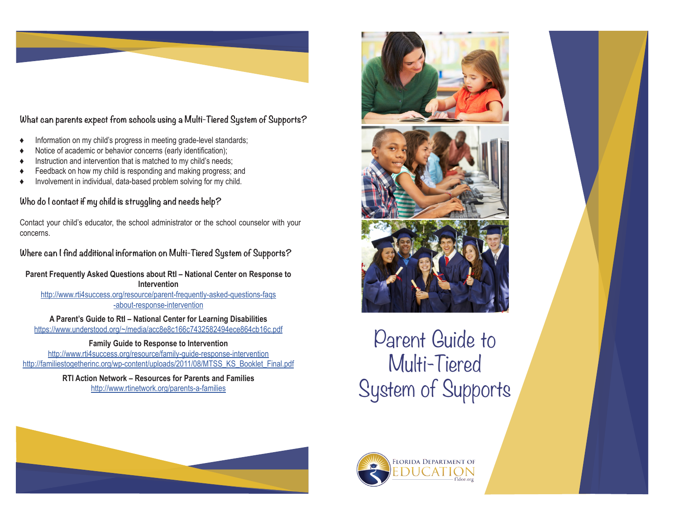

**What can parents expect from schools using a Multi-Tiered System of Supports?**

- Information on my child's progress in meeting grade-level standards;
- Notice of academic or behavior concerns (early identification);
- Instruction and intervention that is matched to my child's needs;
- Feedback on how my child is responding and making progress; and
- Involvement in individual, data-based problem solving for my child.

### **Who do I contact if my child is struggling and needs help?**

Contact your child's educator, the school administrator or the school counselor with your concerns.

## **Where can I find additional information on Multi-Tiered System of Supports?**

**Parent Frequently Asked Questions about RtI – National Center on Response to Intervention** 

[http://www.rti4success.org/resource/parent-frequently-asked-questions-faqs](http://www.rti4success.org/resource/parent-frequently-asked-questions-faqs-about-response-interventi) [-about-response-intervention](http://www.rti4success.org/resource/parent-frequently-asked-questions-faqs-about-response-interventi)

**A Parent's Guide to RtI – National Center for Learning Disabilities**  <https://www.understood.org/~/media/acc8e8c166c7432582494ece864cb16c.pdf>

**Family Guide to Response to Intervention**  <http://www.rti4success.org/resource/family-guide-response-intervention> [http://familiestogetherinc.org/wp-content/uploads/2011/08/MTSS\\_KS\\_Booklet\\_Final.pdf](http://familiestogetherinc.org/wp-content/uploads/2011/08/MTSS_KS_Booklet_Final.pdf )

> **RTI Action Network – Resources for Parents and Families**  <http://www.rtinetwork.org/parents-a-families>



Parent Guide to Multi-Tiered System of Supports